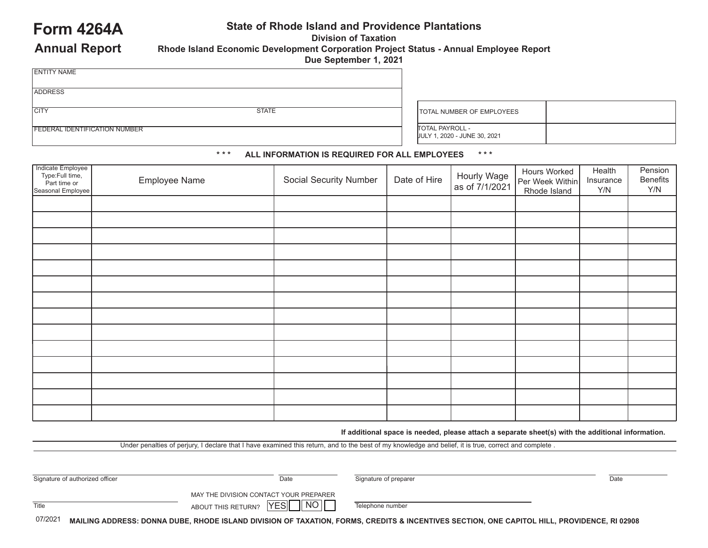## **Form 4264A State of Rhode Island and Providence Plantations**

**Division of Taxation**

**Annual Report**

FEDERAL IDENTIFICATION NUMBER

**Rhode Island Economic Development Corporation Project Status - Annual Employee Report Due September 1, 2021**

| <b>ENTITY NAME</b> |              |
|--------------------|--------------|
|                    |              |
| <b>ADDRESS</b>     |              |
|                    |              |
| <b>CITY</b>        | <b>STATE</b> |

TOTAL NUMBER OF EMPLOYEES TOTAL PAYROLL - JULY 1, 2020 - JUNE 30, 2021

## **\* \* \* ALL INFORMATION IS REQUIRED FOR ALL EMPLOYEES \* \* \***

| Indicate Employee<br>Type:Full time,<br>Part time or<br>Seasonal Employee | Employee Name | <b>Social Security Number</b> | Date of Hire | Hourly Wage<br>as of 7/1/2021 | Hours Worked<br>Per Week Within<br>Rhode Island | Health<br>Insurance<br>Y/N | Pension<br>Benefits<br>Y/N |
|---------------------------------------------------------------------------|---------------|-------------------------------|--------------|-------------------------------|-------------------------------------------------|----------------------------|----------------------------|
|                                                                           |               |                               |              |                               |                                                 |                            |                            |
|                                                                           |               |                               |              |                               |                                                 |                            |                            |
|                                                                           |               |                               |              |                               |                                                 |                            |                            |
|                                                                           |               |                               |              |                               |                                                 |                            |                            |
|                                                                           |               |                               |              |                               |                                                 |                            |                            |
|                                                                           |               |                               |              |                               |                                                 |                            |                            |
|                                                                           |               |                               |              |                               |                                                 |                            |                            |
|                                                                           |               |                               |              |                               |                                                 |                            |                            |
|                                                                           |               |                               |              |                               |                                                 |                            |                            |
|                                                                           |               |                               |              |                               |                                                 |                            |                            |
|                                                                           |               |                               |              |                               |                                                 |                            |                            |
|                                                                           |               |                               |              |                               |                                                 |                            |                            |
|                                                                           |               |                               |              |                               |                                                 |                            |                            |
|                                                                           |               |                               |              |                               |                                                 |                            |                            |

**If additional space is needed, please attach a separate sheet(s) with the additional information.**

Under penalties of perjury, I declare that I have examined this return, and to the best of my knowledge and belief, it is true, correct and complete .

| Signature of authorized officer | Date                                   | Signature of preparer                                                                                                                       | Date |
|---------------------------------|----------------------------------------|---------------------------------------------------------------------------------------------------------------------------------------------|------|
|                                 | MAY THE DIVISION CONTACT YOUR PREPARER |                                                                                                                                             |      |
| Title                           | 1 NO 1<br>YES<br>ABOUT THIS RETURN?    | Telephone number                                                                                                                            |      |
| 07/2021                         |                                        | MAILING ADDRESS: DONNA DUBE, RHODE ISLAND DIVISION OF TAXATION, FORMS, CREDITS & INCENTIVES SECTION, ONE CAPITOL HILL, PROVIDENCE, RI 02908 |      |